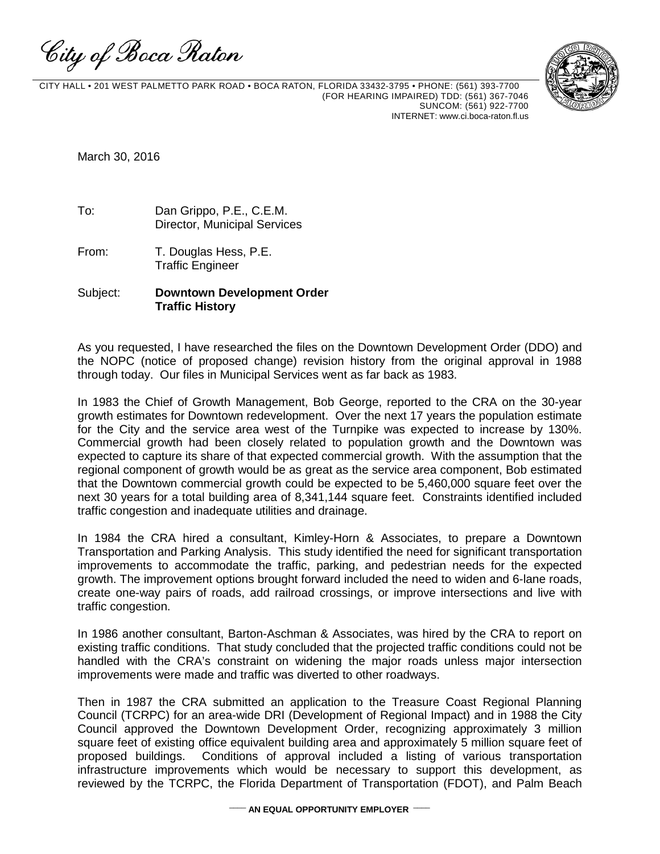City of Boca Raton



 CITY HALL • 201 WEST PALMETTO PARK ROAD • BOCA RATON, FLORIDA 33432-3795 • PHONE: (561) 393-7700 (FOR HEARING IMPAIRED) TDD: (561) 367-7046 SUNCOM: (561) 922-7700 INTERNET: www.ci.boca-raton.fl.us

March 30, 2016

To: Dan Grippo, P.E., C.E.M. Director, Municipal Services

From: T. Douglas Hess, P.E. Traffic Engineer

## Subject: **Downtown Development Order Traffic History**

As you requested, I have researched the files on the Downtown Development Order (DDO) and the NOPC (notice of proposed change) revision history from the original approval in 1988 through today. Our files in Municipal Services went as far back as 1983.

In 1983 the Chief of Growth Management, Bob George, reported to the CRA on the 30-year growth estimates for Downtown redevelopment. Over the next 17 years the population estimate for the City and the service area west of the Turnpike was expected to increase by 130%. Commercial growth had been closely related to population growth and the Downtown was expected to capture its share of that expected commercial growth. With the assumption that the regional component of growth would be as great as the service area component, Bob estimated that the Downtown commercial growth could be expected to be 5,460,000 square feet over the next 30 years for a total building area of 8,341,144 square feet. Constraints identified included traffic congestion and inadequate utilities and drainage.

In 1984 the CRA hired a consultant, Kimley-Horn & Associates, to prepare a Downtown Transportation and Parking Analysis. This study identified the need for significant transportation improvements to accommodate the traffic, parking, and pedestrian needs for the expected growth. The improvement options brought forward included the need to widen and 6-lane roads, create one-way pairs of roads, add railroad crossings, or improve intersections and live with traffic congestion.

In 1986 another consultant, Barton-Aschman & Associates, was hired by the CRA to report on existing traffic conditions. That study concluded that the projected traffic conditions could not be handled with the CRA's constraint on widening the major roads unless major intersection improvements were made and traffic was diverted to other roadways.

Then in 1987 the CRA submitted an application to the Treasure Coast Regional Planning Council (TCRPC) for an area-wide DRI (Development of Regional Impact) and in 1988 the City Council approved the Downtown Development Order, recognizing approximately 3 million square feet of existing office equivalent building area and approximately 5 million square feet of proposed buildings. Conditions of approval included a listing of various transportation infrastructure improvements which would be necessary to support this development, as reviewed by the TCRPC, the Florida Department of Transportation (FDOT), and Palm Beach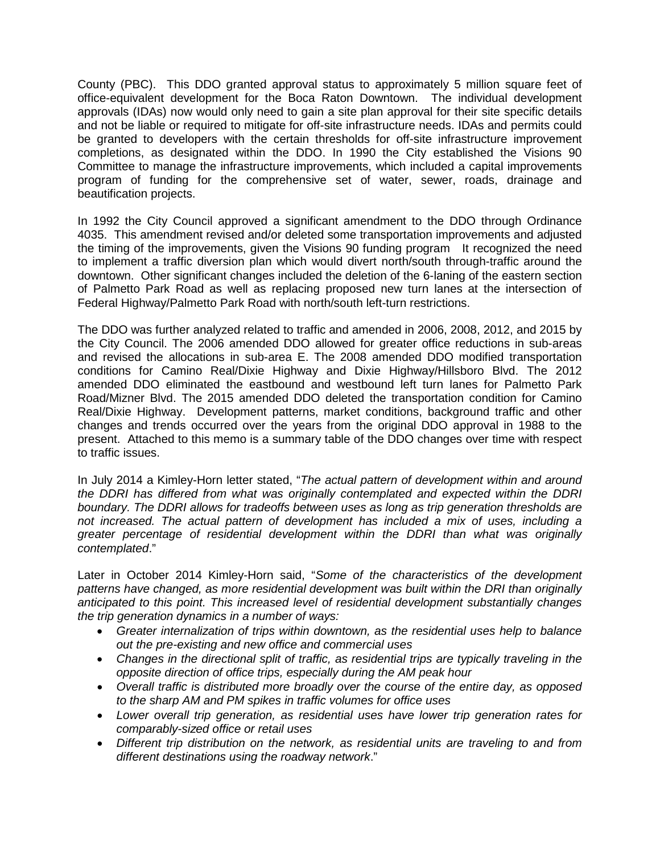County (PBC). This DDO granted approval status to approximately 5 million square feet of office-equivalent development for the Boca Raton Downtown. The individual development approvals (IDAs) now would only need to gain a site plan approval for their site specific details and not be liable or required to mitigate for off-site infrastructure needs. IDAs and permits could be granted to developers with the certain thresholds for off-site infrastructure improvement completions, as designated within the DDO. In 1990 the City established the Visions 90 Committee to manage the infrastructure improvements, which included a capital improvements program of funding for the comprehensive set of water, sewer, roads, drainage and beautification projects.

In 1992 the City Council approved a significant amendment to the DDO through Ordinance 4035. This amendment revised and/or deleted some transportation improvements and adjusted the timing of the improvements, given the Visions 90 funding program It recognized the need to implement a traffic diversion plan which would divert north/south through-traffic around the downtown. Other significant changes included the deletion of the 6-laning of the eastern section of Palmetto Park Road as well as replacing proposed new turn lanes at the intersection of Federal Highway/Palmetto Park Road with north/south left-turn restrictions.

The DDO was further analyzed related to traffic and amended in 2006, 2008, 2012, and 2015 by the City Council. The 2006 amended DDO allowed for greater office reductions in sub-areas and revised the allocations in sub-area E. The 2008 amended DDO modified transportation conditions for Camino Real/Dixie Highway and Dixie Highway/Hillsboro Blvd. The 2012 amended DDO eliminated the eastbound and westbound left turn lanes for Palmetto Park Road/Mizner Blvd. The 2015 amended DDO deleted the transportation condition for Camino Real/Dixie Highway. Development patterns, market conditions, background traffic and other changes and trends occurred over the years from the original DDO approval in 1988 to the present. Attached to this memo is a summary table of the DDO changes over time with respect to traffic issues.

In July 2014 a Kimley-Horn letter stated, "*The actual pattern of development within and around the DDRI has differed from what was originally contemplated and expected within the DDRI boundary. The DDRI allows for tradeoffs between uses as long as trip generation thresholds are not increased. The actual pattern of development has included a mix of uses, including a greater percentage of residential development within the DDRI than what was originally contemplated*."

Later in October 2014 Kimley-Horn said, "*Some of the characteristics of the development patterns have changed, as more residential development was built within the DRI than originally anticipated to this point. This increased level of residential development substantially changes the trip generation dynamics in a number of ways:*

- *Greater internalization of trips within downtown, as the residential uses help to balance out the pre-existing and new office and commercial uses*
- Changes in the directional split of traffic, as residential *trips are typically traveling in the opposite direction of office trips, especially during the AM peak hour*
- *Overall traffic is distributed more broadly over the course of the entire day, as opposed to the sharp AM and PM spikes in traffic volumes for office uses*
- *Lower overall trip generation, as residential uses have lower trip generation rates for comparably-sized office or retail uses*
- *Different trip distribution on the network, as residential units are traveling to and from different destinations using the roadway network*."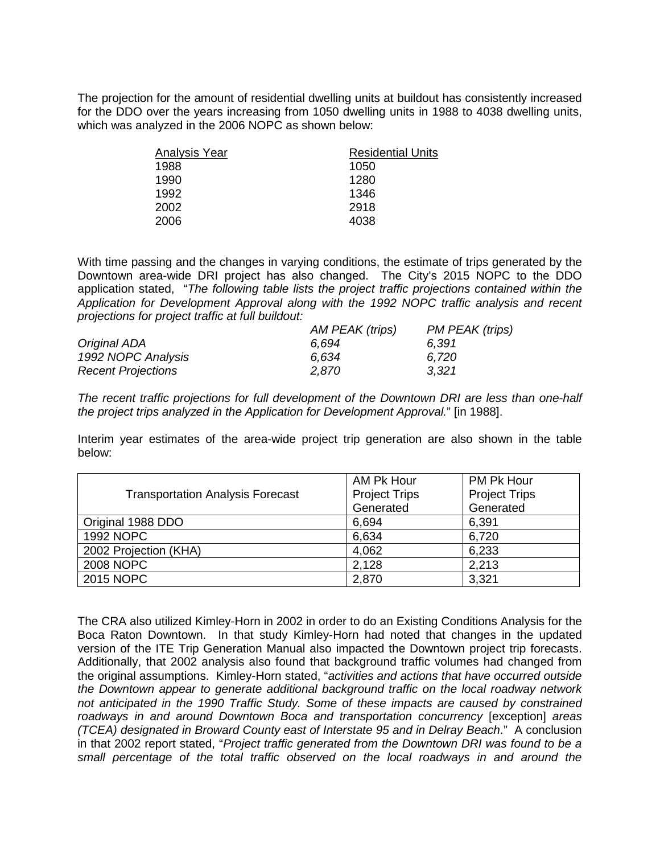The projection for the amount of residential dwelling units at buildout has consistently increased for the DDO over the years increasing from 1050 dwelling units in 1988 to 4038 dwelling units, which was analyzed in the 2006 NOPC as shown below:

| Analysis Year | <b>Residential Units</b> |
|---------------|--------------------------|
| 1988          | 1050                     |
| 1990          | 1280                     |
| 1992          | 1346                     |
| 2002          | 2918                     |
| 2006          | 4038                     |

With time passing and the changes in varying conditions, the estimate of trips generated by the Downtown area-wide DRI project has also changed. The City's 2015 NOPC to the DDO application stated, "*The following table lists the project traffic projections contained within the Application for Development Approval along with the 1992 NOPC traffic analysis and recent projections for project traffic at full buildout:*

|                           | AM PEAK (trips) | PM PEAK (trips) |
|---------------------------|-----------------|-----------------|
| Original ADA              | 6.694           | 6.391           |
| 1992 NOPC Analysis        | 6.634           | 6.720           |
| <b>Recent Projections</b> | 2.870           | 3,321           |

*The recent traffic projections for full development of the Downtown DRI are less than one-half the project trips analyzed in the Application for Development Approval.*" [in 1988].

Interim year estimates of the area-wide project trip generation are also shown in the table below:

|                                         | AM Pk Hour           | PM Pk Hour           |
|-----------------------------------------|----------------------|----------------------|
| <b>Transportation Analysis Forecast</b> | <b>Project Trips</b> | <b>Project Trips</b> |
|                                         | Generated            | Generated            |
| Original 1988 DDO                       | 6,694                | 6,391                |
| <b>1992 NOPC</b>                        | 6,634                | 6,720                |
| 2002 Projection (KHA)                   | 4,062                | 6,233                |
| 2008 NOPC                               | 2,128                | 2,213                |
| 2015 NOPC                               | 2,870                | 3,321                |

The CRA also utilized Kimley-Horn in 2002 in order to do an Existing Conditions Analysis for the Boca Raton Downtown. In that study Kimley-Horn had noted that changes in the updated version of the ITE Trip Generation Manual also impacted the Downtown project trip forecasts. Additionally, that 2002 analysis also found that background traffic volumes had changed from the original assumptions. Kimley-Horn stated, "*activities and actions that have occurred outside the Downtown appear to generate additional background traffic on the local roadway network not anticipated in the 1990 Traffic Study. Some of these impacts are caused by constrained roadways in and around Downtown Boca and transportation concurrency* [exception] *areas (TCEA) designated in Broward County east of Interstate 95 and in Delray Beach*." A conclusion in that 2002 report stated, "*Project traffic generated from the Downtown DRI was found to be a small percentage of the total traffic observed on the local roadways in and around the*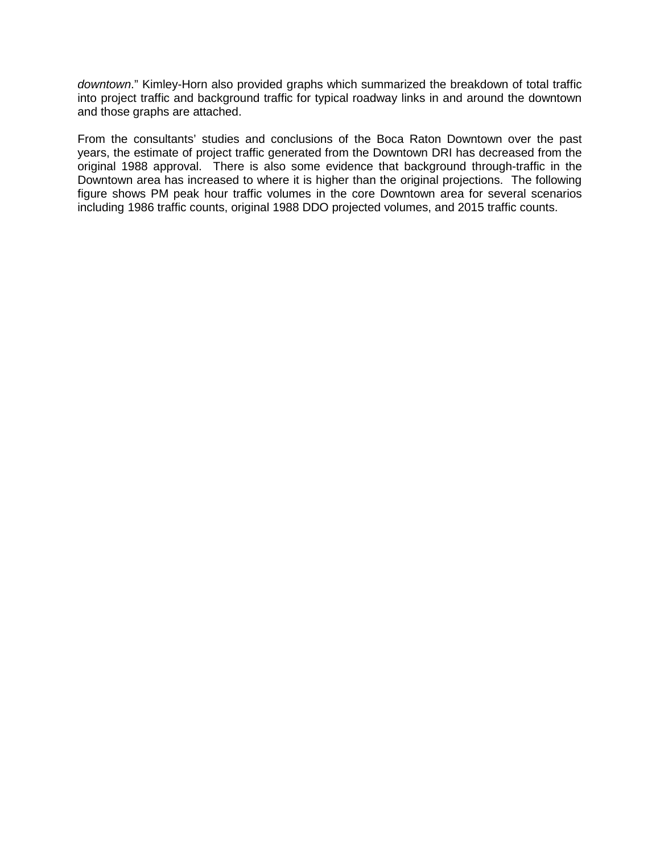*downtown*." Kimley-Horn also provided graphs which summarized the breakdown of total traffic into project traffic and background traffic for typical roadway links in and around the downtown and those graphs are attached.

From the consultants' studies and conclusions of the Boca Raton Downtown over the past years, the estimate of project traffic generated from the Downtown DRI has decreased from the original 1988 approval. There is also some evidence that background through-traffic in the Downtown area has increased to where it is higher than the original projections. The following figure shows PM peak hour traffic volumes in the core Downtown area for several scenarios including 1986 traffic counts, original 1988 DDO projected volumes, and 2015 traffic counts.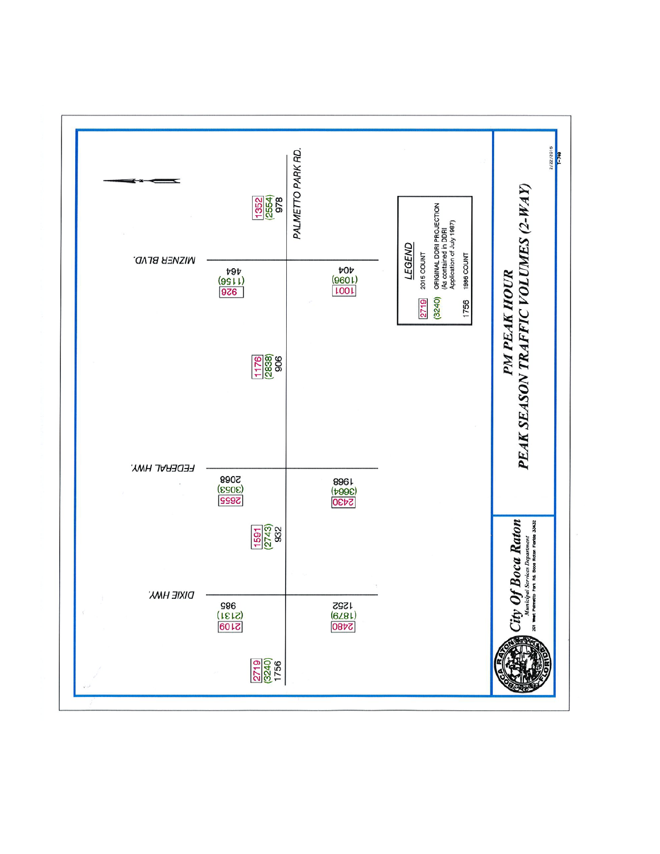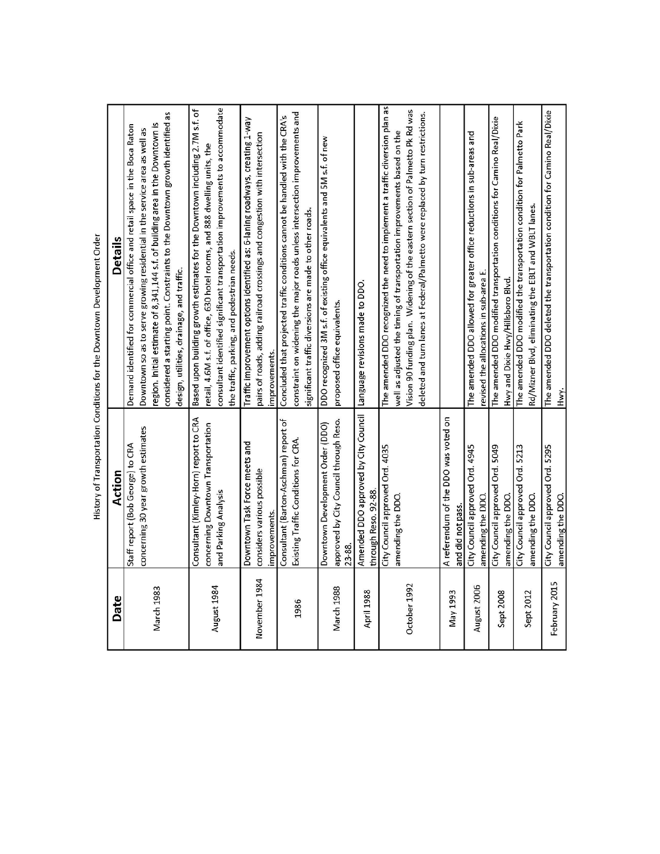| Date              | Action                                                                                               | Details                                                                                                                                                                                                                                                                                                                                                                  |
|-------------------|------------------------------------------------------------------------------------------------------|--------------------------------------------------------------------------------------------------------------------------------------------------------------------------------------------------------------------------------------------------------------------------------------------------------------------------------------------------------------------------|
| <b>March 1983</b> | concerning 30 year growth estimates<br>Staff report (Bob George) to CRA                              | considered a starting point. Constraints to the Downtown growth identified as<br>region. Initial estimate of 8,341,144 s.f. of building area in the Downtown is<br>Demand identified for commercial office and retail space in the Boca Raton<br>Downtown so as to serve growing residential in the service area as well as<br>design, utilities, drainage, and traffic. |
| August 1984       | Consultant (Kimley-Horn) report to CRA<br>concerning Downtown Transportation<br>and Parking Analysis | consultant identified significant transportation improvements to accommodate<br>Based upon building growth estimates for the Downtown including 2.7M s.f. of<br>retail, 4.6M s.f. of office, 630 hotel rooms, and 888 dwelling units, the<br>the traffic, parking, and pedestrian needs.                                                                                 |
| November 1984     | Downtown Task Force meets and<br>considers various possible<br>improvements.                         | Traffic improvement options identified as: 6-laning roadways, creating 1-way<br>pairs of roads, adding railroad crossings and congestion with intersection<br>improvements.                                                                                                                                                                                              |
| 1986              | Consultant (Barton-Aschman) report of<br>Existing Traffic Conditions for CRA.                        | constraint on widening the major roads unless intersection improvements and<br>Concluded that projected traffic conditions cannot be handled with the CRA's<br>significant traffic diversions are made to other roads.                                                                                                                                                   |
| March 1988        | approved by City Council through Reso.<br>Downtown Development Order (DDO)<br>23-88.                 | DDO recognized 3M s.f. of existing office equivalents and 5M s.f. of new<br>proposed office equivalents.                                                                                                                                                                                                                                                                 |
| April 1988        | Amended DDO approved by City Council<br>through Reso, 92-88.                                         | Language revisions made to DDO.                                                                                                                                                                                                                                                                                                                                          |
| October 1992      | City Council approved Ord. 4035<br>amending the DDO.                                                 | The amended DDO recognized the need to implement a traffic diversion plan as<br>Vision 90 funding plan. Widening of the eastern section of Palmetto Pk Rd was<br>deleted and turn lanes at Federal/Palmetto were replaced by turn restrictions.<br>well as adjusted the timing of transportation improvements based on the                                               |
| May 1993          | A referendum of the DDO was voted on<br>and did not pass.                                            |                                                                                                                                                                                                                                                                                                                                                                          |
| August 2006       | City Council approved Ord. 4945<br>amending the DDO.                                                 | The amended DDO allowed for greater office reductions in sub-areas and<br>revised the allocations in sub-area E.                                                                                                                                                                                                                                                         |
| Sept 2008         | City Council approved Ord. 5049<br>amending the DDO.                                                 | The amended DDO modified transportation conditions for Camino Real/Dixie<br>Hwy and Dixie Hwy/Hillsboro Blvd.                                                                                                                                                                                                                                                            |
| Sept 2012         | City Council approved Ord. 5213<br>amending the DDO.                                                 | The amended DDO modified the transportation condition for Palmetto Park<br>Rd/Mizner Blvd, eliminating the EBLT and WBLT lanes.                                                                                                                                                                                                                                          |
| February 2015     | City Council approved Ord. 5295<br>amending the DDO.                                                 | The amended DDO deleted the transportation condition for Camino Real/Dixie<br>Hwy.                                                                                                                                                                                                                                                                                       |

| I |
|---|
|   |
|   |
|   |
| ı |
| j |
| I |